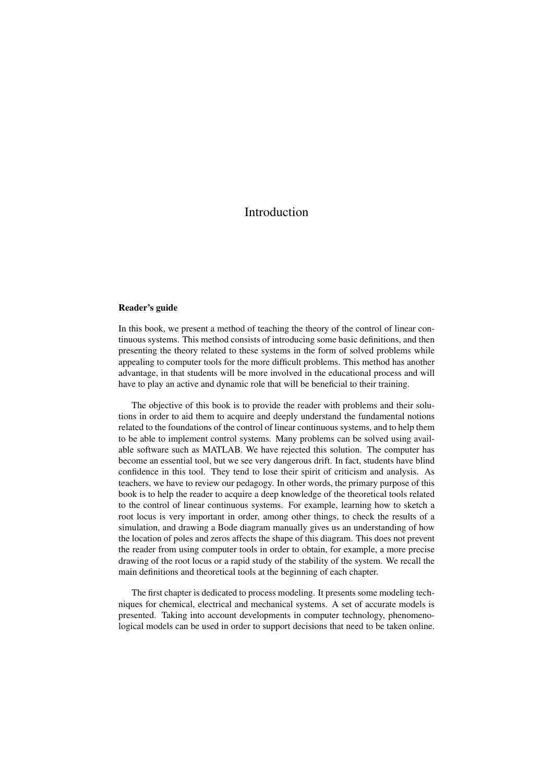## Introduction

## Reader's guide

In this book, we present a method of teaching the theory of the control of linear continuous systems. This method consists of introducing some basic definitions, and then presenting the theory related to these systems in the form of solved problems while appealing to computer tools for the more difficult problems. This method has another advantage, in that students will be more involved in the educational process and will have to play an active and dynamic role that will be beneficial to their training.

The objective of this book is to provide the reader with problems and their solutions in order to aid them to acquire and deeply understand the fundamental notions related to the foundations of the control of linear continuous systems, and to help them to be able to implement control systems. Many problems can be solved using available software such as MATLAB. We have rejected this solution. The computer has become an essential tool, but we see very dangerous drift. In fact, students have blind confidence in this tool. They tend to lose their spirit of criticism and analysis. As teachers, we have to review our pedagogy. In other words, the primary purpose of this book is to help the reader to acquire a deep knowledge of the theoretical tools related to the control of linear continuous systems. For example, learning how to sketch a root locus is very important in order, among other things, to check the results of a simulation, and drawing a Bode diagram manually gives us an understanding of how the location of poles and zeros affects the shape of this diagram. This does not prevent the reader from using computer tools in order to obtain, for example, a more precise drawing of the root locus or a rapid study of the stability of the system. We recall the main definitions and theoretical tools at the beginning of each chapter.

The first chapter is dedicated to process modeling. It presents some modeling techniques for chemical, electrical and mechanical systems. A set of accurate models is presented. Taking into account developments in computer technology, phenomenological models can be used in order to support decisions that need to be taken online.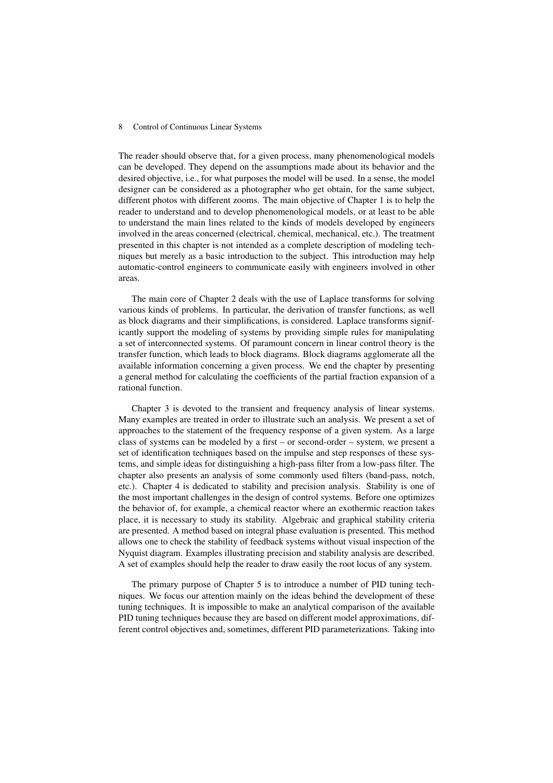## 8 Control of Continuous Linear Systems

The reader should observe that, for a given process, many phenomenological models can be developed. They depend on the assumptions made about its behavior and the desired objective, i.e., for what purposes the model will be used. In a sense, the model designer can be considered as a photographer who get obtain, for the same subject, different photos with different zooms. The main objective of Chapter 1 is to help the reader to understand and to develop phenomenological models, or at least to be able to understand the main lines related to the kinds of models developed by engineers involved in the areas concerned (electrical, chemical, mechanical, etc.). The treatment presented in this chapter is not intended as a complete description of modeling techniques but merely as a basic introduction to the subject. This introduction may help automatic-control engineers to communicate easily with engineers involved in other areas.

The main core of Chapter 2 deals with the use of Laplace transforms for solving various kinds of problems. In particular, the derivation of transfer functions, as well as block diagrams and their simplifications, is considered. Laplace transforms significantly support the modeling of systems by providing simple rules for manipulating a set of interconnected systems. Of paramount concern in linear control theory is the transfer function, which leads to block diagrams. Block diagrams agglomerate all the available information concerning a given process. We end the chapter by presenting a general method for calculating the coefficients of the partial fraction expansion of a rational function.

Chapter 3 is devoted to the transient and frequency analysis of linear systems. Many examples are treated in order to illustrate such an analysis. We present a set of approaches to the statement of the frequency response of a given system. As a large class of systems can be modeled by a first – or second-order – system, we present a set of identification techniques based on the impulse and step responses of these systems, and simple ideas for distinguishing a high-pass filter from a low-pass filter. The chapter also presents an analysis of some commonly used filters (band-pass, notch, etc.). Chapter 4 is dedicated to stability and precision analysis. Stability is one of the most important challenges in the design of control systems. Before one optimizes the behavior of, for example, a chemical reactor where an exothermic reaction takes place, it is necessary to study its stability. Algebraic and graphical stability criteria are presented. A method based on integral phase evaluation is presented. This method allows one to check the stability of feedback systems without visual inspection of the Nyquist diagram. Examples illustrating precision and stability analysis are described. A set of examples should help the reader to draw easily the root locus of any system.

The primary purpose of Chapter 5 is to introduce a number of PID tuning techniques. We focus our attention mainly on the ideas behind the development of these tuning techniques. It is impossible to make an analytical comparison of the available PID tuning techniques because they are based on different model approximations, different control objectives and, sometimes, different PID parameterizations. Taking into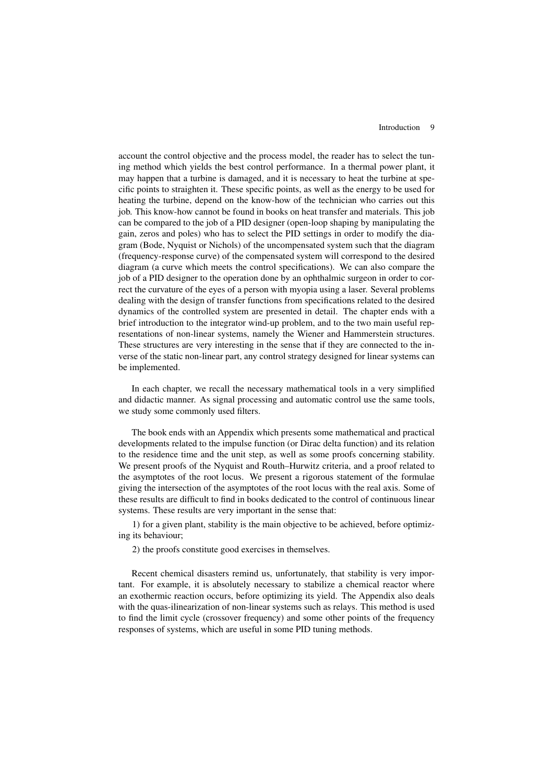account the control objective and the process model, the reader has to select the tuning method which yields the best control performance. In a thermal power plant, it may happen that a turbine is damaged, and it is necessary to heat the turbine at specific points to straighten it. These specific points, as well as the energy to be used for heating the turbine, depend on the know-how of the technician who carries out this job. This know-how cannot be found in books on heat transfer and materials. This job can be compared to the job of a PID designer (open-loop shaping by manipulating the gain, zeros and poles) who has to select the PID settings in order to modify the diagram (Bode, Nyquist or Nichols) of the uncompensated system such that the diagram (frequency-response curve) of the compensated system will correspond to the desired diagram (a curve which meets the control specifications). We can also compare the job of a PID designer to the operation done by an ophthalmic surgeon in order to correct the curvature of the eyes of a person with myopia using a laser. Several problems dealing with the design of transfer functions from specifications related to the desired dynamics of the controlled system are presented in detail. The chapter ends with a brief introduction to the integrator wind-up problem, and to the two main useful representations of non-linear systems, namely the Wiener and Hammerstein structures. These structures are very interesting in the sense that if they are connected to the inverse of the static non-linear part, any control strategy designed for linear systems can be implemented.

In each chapter, we recall the necessary mathematical tools in a very simplified and didactic manner. As signal processing and automatic control use the same tools, we study some commonly used filters.

The book ends with an Appendix which presents some mathematical and practical developments related to the impulse function (or Dirac delta function) and its relation to the residence time and the unit step, as well as some proofs concerning stability. We present proofs of the Nyquist and Routh–Hurwitz criteria, and a proof related to the asymptotes of the root locus. We present a rigorous statement of the formulae giving the intersection of the asymptotes of the root locus with the real axis. Some of these results are difficult to find in books dedicated to the control of continuous linear systems. These results are very important in the sense that:

1) for a given plant, stability is the main objective to be achieved, before optimizing its behaviour;

2) the proofs constitute good exercises in themselves.

Recent chemical disasters remind us, unfortunately, that stability is very important. For example, it is absolutely necessary to stabilize a chemical reactor where an exothermic reaction occurs, before optimizing its yield. The Appendix also deals with the quas-ilinearization of non-linear systems such as relays. This method is used to find the limit cycle (crossover frequency) and some other points of the frequency responses of systems, which are useful in some PID tuning methods.